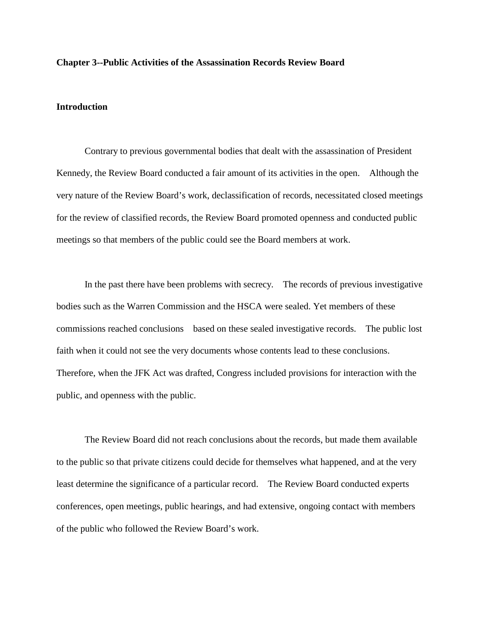## **Chapter 3--Public Activities of the Assassination Records Review Board**

## **Introduction**

Contrary to previous governmental bodies that dealt with the assassination of President Kennedy, the Review Board conducted a fair amount of its activities in the open. Although the very nature of the Review Board's work, declassification of records, necessitated closed meetings for the review of classified records, the Review Board promoted openness and conducted public meetings so that members of the public could see the Board members at work.

In the past there have been problems with secrecy. The records of previous investigative bodies such as the Warren Commission and the HSCA were sealed. Yet members of these commissions reached conclusions based on these sealed investigative records. The public lost faith when it could not see the very documents whose contents lead to these conclusions. Therefore, when the JFK Act was drafted, Congress included provisions for interaction with the public, and openness with the public.

The Review Board did not reach conclusions about the records, but made them available to the public so that private citizens could decide for themselves what happened, and at the very least determine the significance of a particular record. The Review Board conducted experts conferences, open meetings, public hearings, and had extensive, ongoing contact with members of the public who followed the Review Board's work.